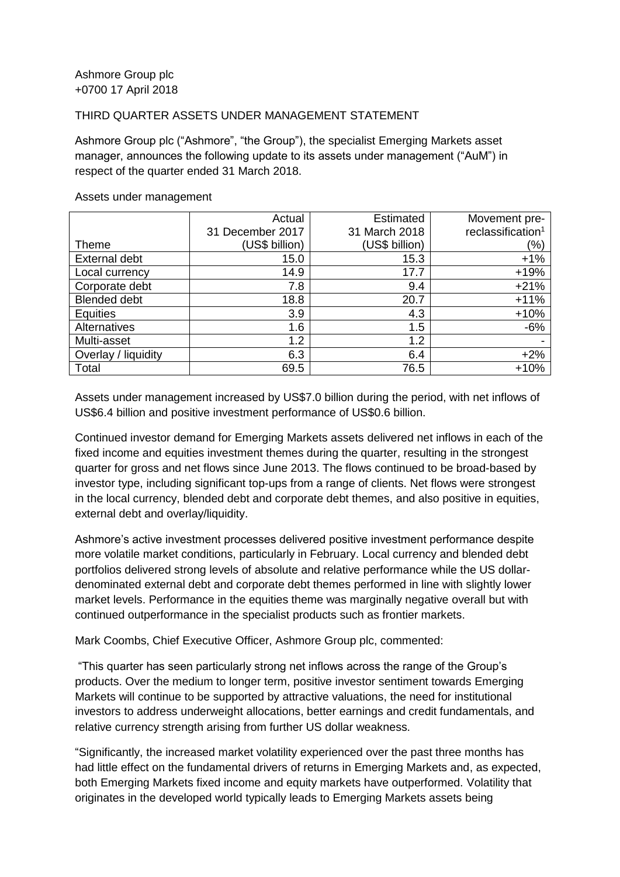## THIRD QUARTER ASSETS UNDER MANAGEMENT STATEMENT

Ashmore Group plc ("Ashmore", "the Group"), the specialist Emerging Markets asset manager, announces the following update to its assets under management ("AuM") in respect of the quarter ended 31 March 2018.

|                      | Actual           | <b>Estimated</b> | Movement pre-                 |
|----------------------|------------------|------------------|-------------------------------|
|                      | 31 December 2017 | 31 March 2018    | reclassification <sup>1</sup> |
| Theme                | (US\$ billion)   | (US\$ billion)   | (%)                           |
| <b>External debt</b> | 15.0             | 15.3             | $+1%$                         |
| Local currency       | 14.9             | 17.7             | $+19%$                        |
| Corporate debt       | 7.8              | 9.4              | $+21%$                        |
| <b>Blended debt</b>  | 18.8             | 20.7             | $+11%$                        |
| <b>Equities</b>      | 3.9              | 4.3              | $+10%$                        |
| Alternatives         | 1.6              | 1.5              | $-6%$                         |
| Multi-asset          | 1.2              | 1.2              |                               |
| Overlay / liquidity  | 6.3              | 6.4              | $+2%$                         |
| Total                | 69.5             | 76.5             | $+10%$                        |

## Assets under management

Assets under management increased by US\$7.0 billion during the period, with net inflows of US\$6.4 billion and positive investment performance of US\$0.6 billion.

Continued investor demand for Emerging Markets assets delivered net inflows in each of the fixed income and equities investment themes during the quarter, resulting in the strongest quarter for gross and net flows since June 2013. The flows continued to be broad-based by investor type, including significant top-ups from a range of clients. Net flows were strongest in the local currency, blended debt and corporate debt themes, and also positive in equities, external debt and overlay/liquidity.

Ashmore's active investment processes delivered positive investment performance despite more volatile market conditions, particularly in February. Local currency and blended debt portfolios delivered strong levels of absolute and relative performance while the US dollardenominated external debt and corporate debt themes performed in line with slightly lower market levels. Performance in the equities theme was marginally negative overall but with continued outperformance in the specialist products such as frontier markets.

Mark Coombs, Chief Executive Officer, Ashmore Group plc, commented:

"This quarter has seen particularly strong net inflows across the range of the Group's products. Over the medium to longer term, positive investor sentiment towards Emerging Markets will continue to be supported by attractive valuations, the need for institutional investors to address underweight allocations, better earnings and credit fundamentals, and relative currency strength arising from further US dollar weakness.

"Significantly, the increased market volatility experienced over the past three months has had little effect on the fundamental drivers of returns in Emerging Markets and, as expected, both Emerging Markets fixed income and equity markets have outperformed. Volatility that originates in the developed world typically leads to Emerging Markets assets being